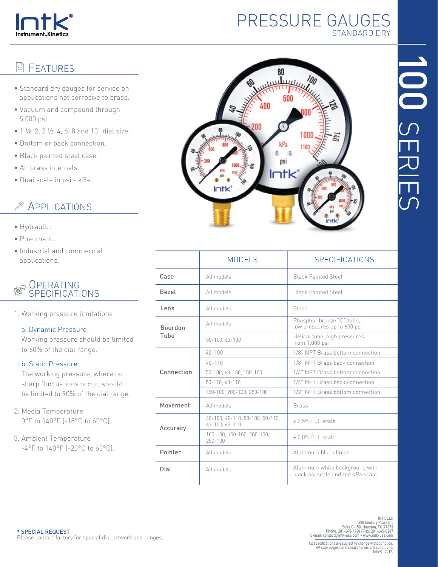

# PRESSURE GAUGES STANDARD DRY

#### E FEATURES

- Standard dry gauges for service on applications not corrosive to brass.
- Vacuum and compound through 5,000 psi.
- $1 \frac{1}{2}$ , 2, 2 $\frac{1}{2}$ , 4, 6, 8 and 10" dial size.
- Bottom or back connection.
- Black painted steel case.
- All brass internals.
- Dual scale in psi kPa.

# **EXAMPLICATIONS**

- Hydraulic.
- Pneumatic.
- Industrial and commercial applications.

#### **OPERATING** szy SPECIFICATIONS

1. Working pressure limitations

### a. Dynamic Pressure:

 Working pressure should be limited to 60% of the dial range.

### b. Static Pressure:

 The working pressure, where no sharp fluctuations occur, should be limited to 90% of the dial range.

2. Media Temperature 0°F to 140°F (-18°C to 60°C).

3. Ambient Temperature -4°F to 140°F (-20°C to 60°C).



|                        | <b>MODELS</b>                                     | <b>SPECIFICATIONS</b>                                               |  |  |  |
|------------------------|---------------------------------------------------|---------------------------------------------------------------------|--|--|--|
| Case                   | All models                                        | <b>Black Painted Steel</b>                                          |  |  |  |
| Bezel                  | All models                                        | Black Painted Steel                                                 |  |  |  |
| Lens                   | All models                                        | Glass                                                               |  |  |  |
| <b>Bourdon</b><br>Tube | All models                                        | Phosphor bronze "C" tube,<br>low pressures up to 600 psi            |  |  |  |
|                        | 50-100, 63-100                                    | Helical tube, high pressures<br>from $1,000$ psi                    |  |  |  |
| Connection             | $40 - 100$                                        | 1/8" NPT Brass bottom connection                                    |  |  |  |
|                        | $40 - 110$                                        | 1/8" NPT Brass back connection                                      |  |  |  |
|                        | 50-100, 63-100, 100-100                           | 1/4" NPT Brass bottom connection                                    |  |  |  |
|                        | 50-110, 63-110                                    | 1/4" NPT Brass back connection                                      |  |  |  |
|                        | 150-100, 200-100, 250-100                         | 1/2" NPT Brass bottom connection                                    |  |  |  |
| Movement               | All models                                        | <b>Brass</b>                                                        |  |  |  |
| Accuracy               | 40-100, 40-110, 50-100, 50-110,<br>63-100, 63-110 | $+25%$ Full scale                                                   |  |  |  |
|                        | 100-100, 150-100, 200-100,<br>250-100             | +2.0% Full scale                                                    |  |  |  |
| Pointer                | All models                                        | Aluminum black finish                                               |  |  |  |
| Dial                   | All models                                        | Aluminum white background with<br>black psi scale and red kPa scale |  |  |  |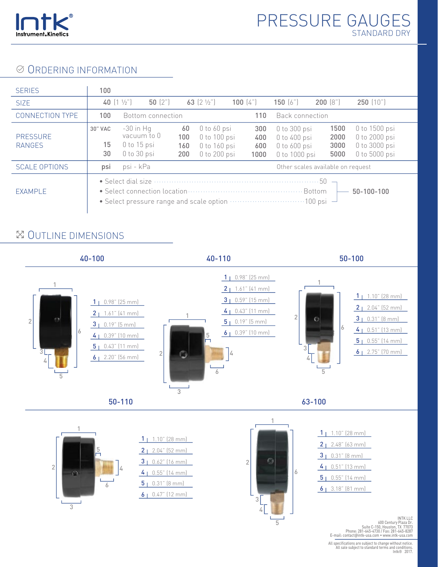

## **© ORDERING INFORMATION**

| <b>SERIES</b>                    | 100                                                                                                                                                                                                                                                                                                                                                                                 |                                                          |                         |                                                                             |                           |                                                                         |                                   |                                                                  |
|----------------------------------|-------------------------------------------------------------------------------------------------------------------------------------------------------------------------------------------------------------------------------------------------------------------------------------------------------------------------------------------------------------------------------------|----------------------------------------------------------|-------------------------|-----------------------------------------------------------------------------|---------------------------|-------------------------------------------------------------------------|-----------------------------------|------------------------------------------------------------------|
| <b>SIZE</b>                      | 40 $(1 \frac{1}{2})$                                                                                                                                                                                                                                                                                                                                                                | 50(2)                                                    |                         | 63 $[2 \frac{1}{2}]$                                                        | 100 $(4")$                | 150(6")                                                                 | 200(8")                           | 250(10")                                                         |
| <b>CONNECTION TYPE</b>           | 100                                                                                                                                                                                                                                                                                                                                                                                 | Bottom connection                                        |                         |                                                                             | 110                       | Back connection                                                         |                                   |                                                                  |
| <b>PRESSURE</b><br><b>RANGES</b> | 30" VAC<br>15<br>30                                                                                                                                                                                                                                                                                                                                                                 | $-30$ in Hq<br>vacuum to 0<br>0 to 15 psi<br>0 to 30 psi | 60<br>100<br>160<br>200 | $0$ to $60$ psi<br>$0$ to $100$ psi<br>$0$ to $160$ psi<br>$0$ to $200$ psi | 300<br>400<br>600<br>1000 | $0$ to 300 psi<br>$0$ to $400$ psi<br>$0$ to $600$ psi<br>0 to 1000 psi | 1500<br>2000<br>3000<br>5000      | 0 to 1500 psi<br>0 to 2000 psi<br>0 to 3000 psi<br>0 to 5000 psi |
| <b>SCALE OPTIONS</b>             | psi                                                                                                                                                                                                                                                                                                                                                                                 | psi - kPa                                                |                         |                                                                             |                           |                                                                         | Other scales available on request |                                                                  |
| EXAMPLE                          | • Select dial size $\cdots$ $\cdots$ $\cdots$ $\cdots$ $\cdots$ $\cdots$ $\cdots$ $\cdots$ $\cdots$ $\cdots$ 50 $\cdots$<br>• Select connection location <b>constructs</b> and the set of selection of the set of set of set of set of set of set of set of set of set of set of set of set of set of set of set of set of set of set of set of set of set of s<br>$50 - 100 - 100$ |                                                          |                         |                                                                             |                           |                                                                         |                                   |                                                                  |

## OUTLINE DIMENSIONS



All specifications are subject to change without notice. All sale subject to standard terms and conditions. Intk® 2017.